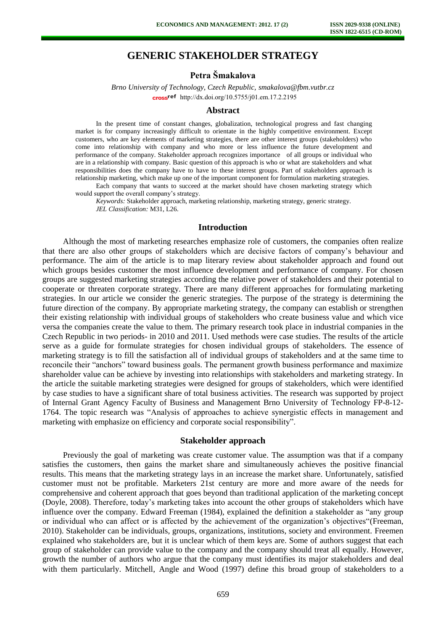# **GENERIC STAKEHOLDER STRATEGY**

# **Petra Šmakalova**

*Brno University of Technology, Czech Republic, [smakalova@fbm.vutbr.cz](mailto:smakalova@fbm.vutbr.cz)* cross<sup>ref</sup> [http://dx.doi.org/10.5755/j01.e](http://dx.doi.org/10.5755/j01.em.17.2.2195)m.17.2.2195

#### **Abstract**

In the present time of constant changes, globalization, technological progress and fast changing market is for company increasingly difficult to orientate in the highly competitive environment. Except customers, who are key elements of marketing strategies, there are other interest groups (stakeholders) who come into relationship with company and who more or less influence the future development and performance of the company. Stakeholder approach recognizes importance of all groups or individual who are in a relationship with company. Basic question of this approach is who or what are stakeholders and what responsibilities does the company have to have to these interest groups. Part of stakeholders approach is relationship marketing, which make up one of the important component for formulation marketing strategies.

Each company that wants to succeed at the market should have chosen marketing strategy which would support the overall company's strategy.

*Keywords:* Stakeholder approach, marketing relationship, marketing strategy, generic strategy. *JEL Classification:* M31, L26.

### **Introduction**

Although the most of marketing researches emphasize role of customers, the companies often realize that there are also other groups of stakeholders which are decisive factors of company's behaviour and performance. The aim of the article is to map literary review about stakeholder approach and found out which groups besides customer the most influence development and performance of company. For chosen groups are suggested marketing strategies according the relative power of stakeholders and their potential to cooperate or threaten corporate strategy. There are many different approaches for formulating marketing strategies. In our article we consider the generic strategies. The purpose of the strategy is determining the future direction of the company. By appropriate marketing strategy, the company can establish or strengthen their existing relationship with individual groups of stakeholders who create business value and which vice versa the companies create the value to them. The primary research took place in industrial companies in the Czech Republic in two periods- in 2010 and 2011. Used methods were case studies. The results of the article serve as a guide for formulate strategies for chosen individual groups of stakeholders. The essence of marketing strategy is to fill the satisfaction all of individual groups of stakeholders and at the same time to reconcile their "anchors" toward business goals. The permanent growth business performance and maximize shareholder value can be achieve by investing into relationships with stakeholders and marketing strategy. In the article the suitable marketing strategies were designed for groups of stakeholders, which were identified by case studies to have a significant share of total business activities. The research was supported by project of Internal Grant Agency Faculty of Business and Management Brno University of Technology FP-8-12- 1764. The topic research was "Analysis of approaches to achieve synergistic effects in management and marketing with emphasize on efficiency and corporate social responsibility".

### **Stakeholder approach**

Previously the goal of marketing was create customer value. The assumption was that if a company satisfies the customers, then gains the market share and simultaneously achieves the positive financial results. This means that the marketing strategy lays in an increase the market share. Unfortunately, satisfied customer must not be profitable. Marketers 21st century are more and more aware of the needs for comprehensive and coherent approach that goes beyond than traditional application of the marketing concept (Doyle, 2008). Therefore, today's marketing takes into account the other groups of stakeholders which have influence over the company. Edward Freeman (1984), explained the definition a stakeholder as "any group or individual who can affect or is affected by the achievement of the organization's objectives"(Freeman, 2010). Stakeholder can be individuals, groups, organizations, institutions, society and environment. Freemen explained who stakeholders are, but it is unclear which of them keys are. Some of authors suggest that each group of stakeholder can provide value to the company and the company should treat all equally. However, growth the number of authors who argue that the company must identifies its major stakeholders and deal with them particularly. Mitchell, Angle and Wood (1997) define this broad group of stakeholders to a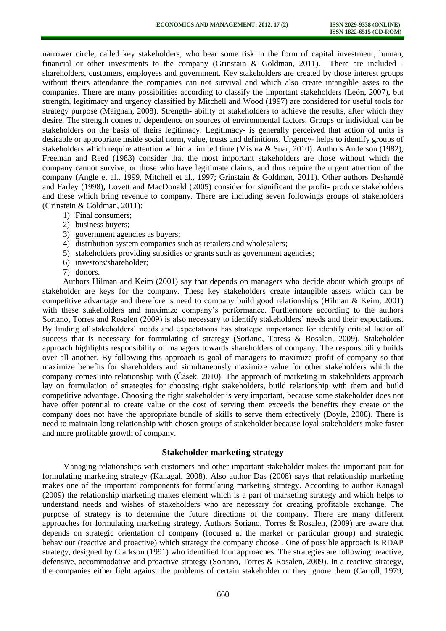narrower circle, called key stakeholders, who bear some risk in the form of capital investment, human, financial or other investments to the company (Grinstain & Goldman, 2011). There are included shareholders, customers, employees and government. Key stakeholders are created by those interest groups without theirs attendance the companies can not survival and which also create intangible asses to the companies. There are many possibilities according to classify the important stakeholders (León, 2007), but strength, legitimacy and urgency classified by Mitchell and Wood (1997) are considered for useful tools for strategy purpose (Maignan, 2008). Strength- ability of stakeholders to achieve the results, after which they desire. The strength comes of dependence on sources of environmental factors. Groups or individual can be stakeholders on the basis of theirs legitimacy. Legitimacy- is generally perceived that action of units is desirable or appropriate inside social norm, value, trusts and definitions. Urgency- helps to identify groups of stakeholders which require attention within a limited time (Mishra & Suar, 2010). Authors Anderson (1982), Freeman and Reed (1983) consider that the most important stakeholders are those without which the company cannot survive, or those who have legitimate claims, and thus require the urgent attention of the company (Angle et al., 1999, Mitchell et al., 1997; Grinstain & Goldman, 2011). Other authors Deshandé and Farley (1998), Lovett and MacDonald (2005) consider for significant the profit- produce stakeholders and these which bring revenue to company. There are including seven followings groups of stakeholders (Grinstein & Goldman, 2011):

- 1) Final consumers;
- 2) business buyers;
- 3) government agencies as buyers;
- 4) distribution system companies such as retailers and wholesalers;
- 5) stakeholders providing subsidies or grants such as government agencies;
- 6) investors/shareholder;
- 7) donors.

Authors Hilman and Keim (2001) say that depends on managers who decide about which groups of stakeholder are keys for the company. These key stakeholders create intangible assets which can be competitive advantage and therefore is need to company build good relationships (Hilman & Keim, 2001) with these stakeholders and maximize company's performance. Furthermore according to the authors Soriano, Torres and Rosalen (2009) is also necessary to identify stakeholders' needs and their expectations. By finding of stakeholders' needs and expectations has strategic importance for identify critical factor of success that is necessary for formulating of strategy (Soriano, Toress & Rosalen, 2009). Stakeholder approach highlights responsibility of managers towards shareholders of company. The responsibility builds over all another. By following this approach is goal of managers to maximize profit of company so that maximize benefits for shareholders and simultaneously maximize value for other stakeholders which the company comes into relationship with (Čásek, 2010). The approach of marketing in stakeholders approach lay on formulation of strategies for choosing right stakeholders, build relationship with them and build competitive advantage. Choosing the right stakeholder is very important, because some stakeholder does not have offer potential to create value or the cost of serving them exceeds the benefits they create or the company does not have the appropriate bundle of skills to serve them effectively (Doyle, 2008). There is need to maintain long relationship with chosen groups of stakeholder because loyal stakeholders make faster and more profitable growth of company.

#### **Stakeholder marketing strategy**

Managing relationships with customers and other important stakeholder makes the important part for formulating marketing strategy (Kanagal, 2008). Also author Das (2008) says that relationship marketing makes one of the important components for formulating marketing strategy. According to author Kanagal (2009) the relationship marketing makes element which is a part of marketing strategy and which helps to understand needs and wishes of stakeholders who are necessary for creating profitable exchange. The purpose of strategy is to determine the future directions of the company. There are many different approaches for formulating marketing strategy. Authors Soriano, Torres & Rosalen, (2009) are aware that depends on strategic orientation of company (focused at the market or particular group) and strategic behaviour (reactive and proactive) which strategy the company choose . One of possible approach is RDAP strategy, designed by Clarkson (1991) who identified four approaches. The strategies are following: reactive, defensive, accommodative and proactive strategy (Soriano, Torres & Rosalen, 2009). In a reactive strategy, the companies either fight against the problems of certain stakeholder or they ignore them (Carroll, 1979;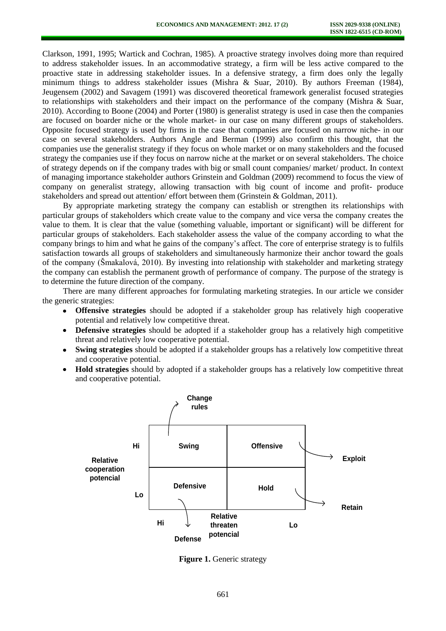Clarkson, 1991, 1995; Wartick and Cochran, 1985). A proactive strategy involves doing more than required to address stakeholder issues. In an accommodative strategy, a firm will be less active compared to the proactive state in addressing stakeholder issues. In a defensive strategy, a firm does only the legally minimum things to address stakeholder issues (Mishra & Suar, 2010). By authors Freeman (1984), Jeugensem (2002) and Savagem (1991) was discovered theoretical framework generalist focused strategies to relationships with stakeholders and their impact on the performance of the company (Mishra & Suar, 2010). According to Boone (2004) and Porter (1980) is generalist strategy is used in case then the companies are focused on boarder niche or the whole market- in our case on many different groups of stakeholders. Opposite focused strategy is used by firms in the case that companies are focused on narrow niche- in our case on several stakeholders. Authors Angle and Berman (1999) also confirm this thought, that the companies use the generalist strategy if they focus on whole market or on many stakeholders and the focused strategy the companies use if they focus on narrow niche at the market or on several stakeholders. The choice of strategy depends on if the company trades with big or small count companies/ market/ product. In context of managing importance stakeholder authors Grinstein and Goldman (2009) recommend to focus the view of company on generalist strategy, allowing transaction with big count of income and profit- produce stakeholders and spread out attention/ effort between them (Grinstein & Goldman, 2011).

By appropriate marketing strategy the company can establish or strengthen its relationships with particular groups of stakeholders which create value to the company and vice versa the company creates the value to them. It is clear that the value (something valuable, important or significant) will be different for particular groups of stakeholders. Each stakeholder assess the value of the company according to what the company brings to him and what he gains of the company's affect. The core of enterprise strategy is to fulfils satisfaction towards all groups of stakeholders and simultaneously harmonize their anchor toward the goals of the company (Šmakalová, 2010). By investing into relationship with stakeholder and marketing strategy the company can establish the permanent growth of performance of company. The purpose of the strategy is to determine the future direction of the company.

There are many different approaches for formulating marketing strategies. In our article we consider the generic strategies:

- **Offensive strategies** should be adopted if a stakeholder group has relatively high cooperative potential and relatively low competitive threat.
- **Defensive strategies** should be adopted if a stakeholder group has a relatively high competitive threat and relatively low cooperative potential.
- **Swing strategies** should be adopted if a stakeholder groups has a relatively low competitive threat  $\bullet$ and cooperative potential.
- **Hold strategies** should by adopted if a stakeholder groups has a relatively low competitive threat and cooperative potential.



**Figure 1.** Generic strategy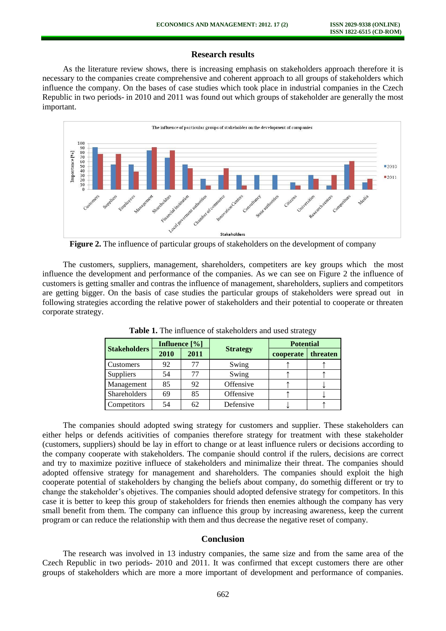### **Research results**

As the literature review shows, there is increasing emphasis on stakeholders approach therefore it is necessary to the companies create comprehensive and coherent approach to all groups of stakeholders which influence the company. On the bases of case studies which took place in industrial companies in the Czech Republic in two periods- in 2010 and 2011 was found out which groups of stakeholder are generally the most important.



**Figure 2.** The influence of particular groups of stakeholders on the development of company

The customers, suppliers, management, shareholders, competiters are key groups which the most influence the development and performance of the companies. As we can see on Figure 2 the influence of customers is getting smaller and contras the influence of management, shareholders, supliers and competitors are getting bigger. On the basis of case studies the particular groups of stakeholders were spread out in following strategies according the relative power of stakeholders and their potential to cooperate or threaten corporate strategy.

| <b>Stakeholders</b> | Influence [%] |      |                 | <b>Potential</b> |          |
|---------------------|---------------|------|-----------------|------------------|----------|
|                     | 2010          | 2011 | <b>Strategy</b> | cooperate        | threaten |
| Customers           | 92            | 77   | Swing           |                  |          |
| Suppliers           | 54            | 77   | Swing           |                  |          |
| Management          | 85            | 92   | Offensive       |                  |          |
| <b>Shareholders</b> | 69            | 85   | Offensive       |                  |          |
| Competitors         | 54            | 62   | Defensive       |                  |          |

**Table 1.** The influence of stakeholders and used strategy

The companies should adopted swing strategy for customers and supplier. These stakeholders can either helps or defends acitivities of companies therefore strategy for treatment with these stakeholder (customers, suppliers) should be lay in effort to change or at least influence rulers or decisions according to the company cooperate with stakeholders. The companie should control if the rulers, decisions are correct and try to maximize pozitive influece of stakeholders and minimalize their threat. The companies should adopted offensive strategy for management and shareholders. The companies should exploit the high cooperate potential of stakeholders by changing the beliefs about company, do somethig different or try to change the stakeholder's objetives. The companies should adopted defensive strategy for competitors. In this case it is better to keep this group of stakeholders for friends then enemies although the company has very small benefit from them. The company can influence this group by increasing awareness, keep the current program or can reduce the relationship with them and thus decrease the negative reset of company.

### **Conclusion**

The research was involved in 13 industry companies, the same size and from the same area of the Czech Republic in two periods- 2010 and 2011. It was confirmed that except customers there are other groups of stakeholders which are more a more important of development and performance of companies.